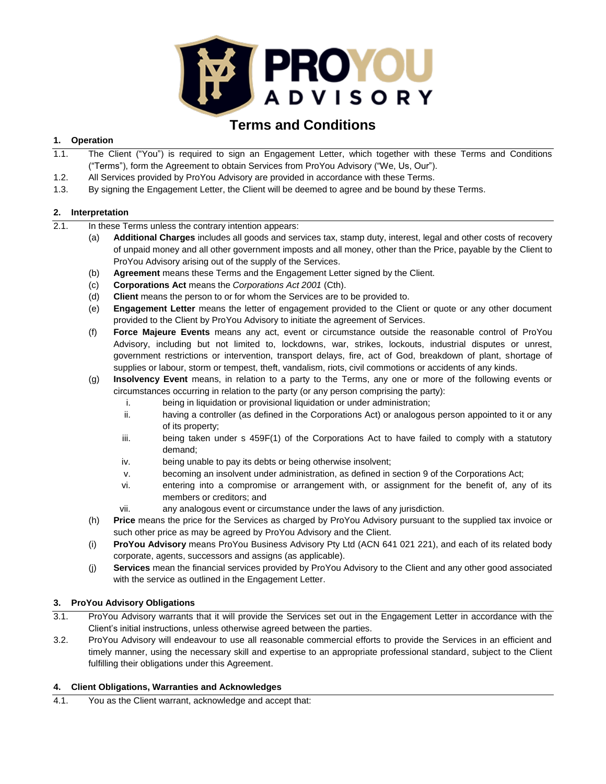

# **Terms and Conditions**

# **1. Operation**

- 1.1. The Client ("You") is required to sign an Engagement Letter, which together with these Terms and Conditions ("Terms"), form the Agreement to obtain Services from ProYou Advisory ("We, Us, Our").
- 1.2. All Services provided by ProYou Advisory are provided in accordance with these Terms.
- 1.3. By signing the Engagement Letter, the Client will be deemed to agree and be bound by these Terms.

# **2. Interpretation**

- 2.1. In these Terms unless the contrary intention appears:
	- (a) **Additional Charges** includes all goods and services tax, stamp duty, interest, legal and other costs of recovery of unpaid money and all other government imposts and all money, other than the Price, payable by the Client to ProYou Advisory arising out of the supply of the Services.
	- (b) **Agreement** means these Terms and the Engagement Letter signed by the Client.
	- (c) **Corporations Act** means the *Corporations Act 2001* (Cth).
	- (d) **Client** means the person to or for whom the Services are to be provided to.
	- (e) **Engagement Letter** means the letter of engagement provided to the Client or quote or any other document provided to the Client by ProYou Advisory to initiate the agreement of Services.
	- (f) **Force Majeure Events** means any act, event or circumstance outside the reasonable control of ProYou Advisory, including but not limited to, lockdowns, war, strikes, lockouts, industrial disputes or unrest, government restrictions or intervention, transport delays, fire, act of God, breakdown of plant, shortage of supplies or labour, storm or tempest, theft, vandalism, riots, civil commotions or accidents of any kinds.
	- (g) **Insolvency Event** means, in relation to a party to the Terms, any one or more of the following events or circumstances occurring in relation to the party (or any person comprising the party):
		- i. being in liquidation or provisional liquidation or under administration;
		- ii. having a controller (as defined in the Corporations Act) or analogous person appointed to it or any of its property;
		- iii. being taken under s 459F(1) of the Corporations Act to have failed to comply with a statutory demand;
		- iv. being unable to pay its debts or being otherwise insolvent;
		- v. becoming an insolvent under administration, as defined in section 9 of the Corporations Act;
		- vi. entering into a compromise or arrangement with, or assignment for the benefit of, any of its members or creditors; and
		- vii. any analogous event or circumstance under the laws of any jurisdiction.
	- (h) **Price** means the price for the Services as charged by ProYou Advisory pursuant to the supplied tax invoice or such other price as may be agreed by ProYou Advisory and the Client.
	- (i) **ProYou Advisory** means ProYou Business Advisory Pty Ltd (ACN 641 021 221), and each of its related body corporate, agents, successors and assigns (as applicable).
	- (j) **Services** mean the financial services provided by ProYou Advisory to the Client and any other good associated with the service as outlined in the Engagement Letter.

## **3. ProYou Advisory Obligations**

- 3.1. ProYou Advisory warrants that it will provide the Services set out in the Engagement Letter in accordance with the Client's initial instructions, unless otherwise agreed between the parties.
- 3.2. ProYou Advisory will endeavour to use all reasonable commercial efforts to provide the Services in an efficient and timely manner, using the necessary skill and expertise to an appropriate professional standard, subject to the Client fulfilling their obligations under this Agreement.

## **4. Client Obligations, Warranties and Acknowledges**

4.1. You as the Client warrant, acknowledge and accept that: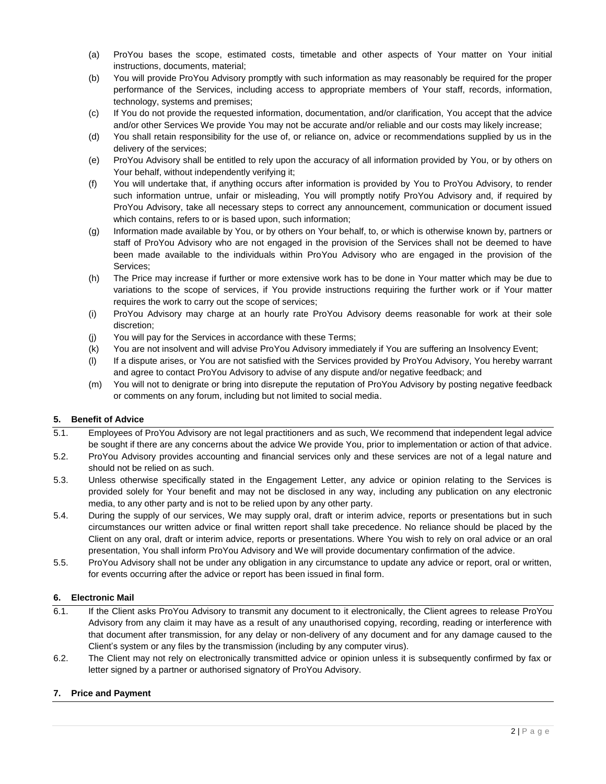- (a) ProYou bases the scope, estimated costs, timetable and other aspects of Your matter on Your initial instructions, documents, material;
- (b) You will provide ProYou Advisory promptly with such information as may reasonably be required for the proper performance of the Services, including access to appropriate members of Your staff, records, information, technology, systems and premises;
- (c) If You do not provide the requested information, documentation, and/or clarification, You accept that the advice and/or other Services We provide You may not be accurate and/or reliable and our costs may likely increase;
- (d) You shall retain responsibility for the use of, or reliance on, advice or recommendations supplied by us in the delivery of the services;
- (e) ProYou Advisory shall be entitled to rely upon the accuracy of all information provided by You, or by others on Your behalf, without independently verifying it;
- (f) You will undertake that, if anything occurs after information is provided by You to ProYou Advisory, to render such information untrue, unfair or misleading, You will promptly notify ProYou Advisory and, if required by ProYou Advisory, take all necessary steps to correct any announcement, communication or document issued which contains, refers to or is based upon, such information;
- (g) Information made available by You, or by others on Your behalf, to, or which is otherwise known by, partners or staff of ProYou Advisory who are not engaged in the provision of the Services shall not be deemed to have been made available to the individuals within ProYou Advisory who are engaged in the provision of the Services;
- (h) The Price may increase if further or more extensive work has to be done in Your matter which may be due to variations to the scope of services, if You provide instructions requiring the further work or if Your matter requires the work to carry out the scope of services;
- (i) ProYou Advisory may charge at an hourly rate ProYou Advisory deems reasonable for work at their sole discretion;
- (j) You will pay for the Services in accordance with these Terms;
- (k) You are not insolvent and will advise ProYou Advisory immediately if You are suffering an Insolvency Event;
- (l) If a dispute arises, or You are not satisfied with the Services provided by ProYou Advisory, You hereby warrant and agree to contact ProYou Advisory to advise of any dispute and/or negative feedback; and
- (m) You will not to denigrate or bring into disrepute the reputation of ProYou Advisory by posting negative feedback or comments on any forum, including but not limited to social media.

## **5. Benefit of Advice**

- 5.1. Employees of ProYou Advisory are not legal practitioners and as such, We recommend that independent legal advice be sought if there are any concerns about the advice We provide You, prior to implementation or action of that advice.
- 5.2. ProYou Advisory provides accounting and financial services only and these services are not of a legal nature and should not be relied on as such.
- 5.3. Unless otherwise specifically stated in the Engagement Letter, any advice or opinion relating to the Services is provided solely for Your benefit and may not be disclosed in any way, including any publication on any electronic media, to any other party and is not to be relied upon by any other party.
- 5.4. During the supply of our services, We may supply oral, draft or interim advice, reports or presentations but in such circumstances our written advice or final written report shall take precedence. No reliance should be placed by the Client on any oral, draft or interim advice, reports or presentations. Where You wish to rely on oral advice or an oral presentation, You shall inform ProYou Advisory and We will provide documentary confirmation of the advice.
- 5.5. ProYou Advisory shall not be under any obligation in any circumstance to update any advice or report, oral or written, for events occurring after the advice or report has been issued in final form.

## **6. Electronic Mail**

- 6.1. If the Client asks ProYou Advisory to transmit any document to it electronically, the Client agrees to release ProYou Advisory from any claim it may have as a result of any unauthorised copying, recording, reading or interference with that document after transmission, for any delay or non-delivery of any document and for any damage caused to the Client's system or any files by the transmission (including by any computer virus).
- 6.2. The Client may not rely on electronically transmitted advice or opinion unless it is subsequently confirmed by fax or letter signed by a partner or authorised signatory of ProYou Advisory.

## **7. Price and Payment**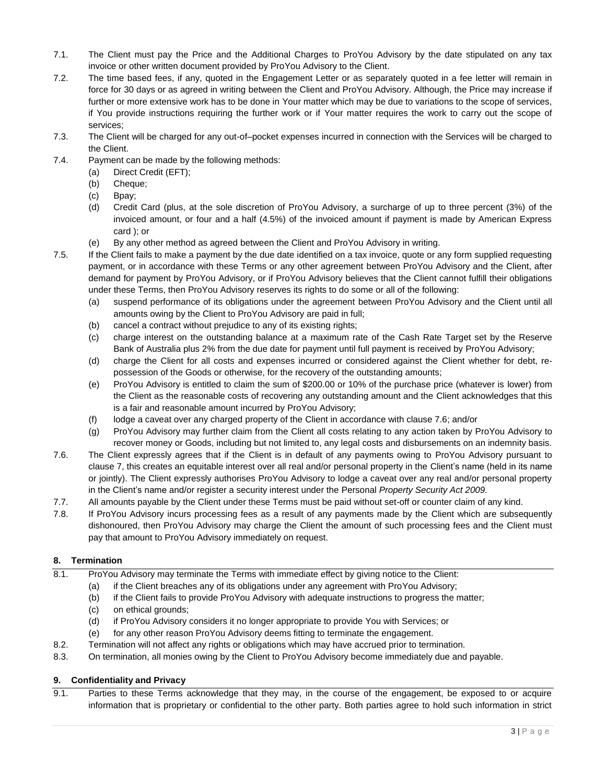- 7.1. The Client must pay the Price and the Additional Charges to ProYou Advisory by the date stipulated on any tax invoice or other written document provided by ProYou Advisory to the Client.
- 7.2. The time based fees, if any, quoted in the Engagement Letter or as separately quoted in a fee letter will remain in force for 30 days or as agreed in writing between the Client and ProYou Advisory. Although, the Price may increase if further or more extensive work has to be done in Your matter which may be due to variations to the scope of services, if You provide instructions requiring the further work or if Your matter requires the work to carry out the scope of services;
- 7.3. The Client will be charged for any out-of–pocket expenses incurred in connection with the Services will be charged to the Client.
- 7.4. Payment can be made by the following methods:
	- (a) Direct Credit (EFT);
	- (b) Cheque;
	- (c) Bpay;
	- (d) Credit Card (plus, at the sole discretion of ProYou Advisory, a surcharge of up to three percent (3%) of the invoiced amount, or four and a half (4.5%) of the invoiced amount if payment is made by American Express card ); or
	- (e) By any other method as agreed between the Client and ProYou Advisory in writing.
- 7.5. If the Client fails to make a payment by the due date identified on a tax invoice, quote or any form supplied requesting payment, or in accordance with these Terms or any other agreement between ProYou Advisory and the Client, after demand for payment by ProYou Advisory, or if ProYou Advisory believes that the Client cannot fulfill their obligations under these Terms, then ProYou Advisory reserves its rights to do some or all of the following:
	- (a) suspend performance of its obligations under the agreement between ProYou Advisory and the Client until all amounts owing by the Client to ProYou Advisory are paid in full;
	- (b) cancel a contract without prejudice to any of its existing rights;
	- (c) charge interest on the outstanding balance at a maximum rate of the Cash Rate Target set by the Reserve Bank of Australia plus 2% from the due date for payment until full payment is received by ProYou Advisory;
	- (d) charge the Client for all costs and expenses incurred or considered against the Client whether for debt, repossession of the Goods or otherwise, for the recovery of the outstanding amounts;
	- (e) ProYou Advisory is entitled to claim the sum of \$200.00 or 10% of the purchase price (whatever is lower) from the Client as the reasonable costs of recovering any outstanding amount and the Client acknowledges that this is a fair and reasonable amount incurred by ProYou Advisory;
	- (f) lodge a caveat over any charged property of the Client in accordance with clause 7.6; and/or
	- (g) ProYou Advisory may further claim from the Client all costs relating to any action taken by ProYou Advisory to recover money or Goods, including but not limited to, any legal costs and disbursements on an indemnity basis.
- 7.6. The Client expressly agrees that if the Client is in default of any payments owing to ProYou Advisory pursuant to clause 7, this creates an equitable interest over all real and/or personal property in the Client's name (held in its name or jointly). The Client expressly authorises ProYou Advisory to lodge a caveat over any real and/or personal property in the Client's name and/or register a security interest under the Personal *Property Security Act 2009.*
- 7.7. All amounts payable by the Client under these Terms must be paid without set-off or counter claim of any kind.
- 7.8. If ProYou Advisory incurs processing fees as a result of any payments made by the Client which are subsequently dishonoured, then ProYou Advisory may charge the Client the amount of such processing fees and the Client must pay that amount to ProYou Advisory immediately on request.

## **8. Termination**

- 8.1. ProYou Advisory may terminate the Terms with immediate effect by giving notice to the Client:
	- (a) if the Client breaches any of its obligations under any agreement with ProYou Advisory;
	- (b) if the Client fails to provide ProYou Advisory with adequate instructions to progress the matter;
	- (c) on ethical grounds;
	- (d) if ProYou Advisory considers it no longer appropriate to provide You with Services; or
	- (e) for any other reason ProYou Advisory deems fitting to terminate the engagement.
- 8.2. Termination will not affect any rights or obligations which may have accrued prior to termination.
- 8.3. On termination, all monies owing by the Client to ProYou Advisory become immediately due and payable.

## **9. Confidentiality and Privacy**

9.1. Parties to these Terms acknowledge that they may, in the course of the engagement, be exposed to or acquire information that is proprietary or confidential to the other party. Both parties agree to hold such information in strict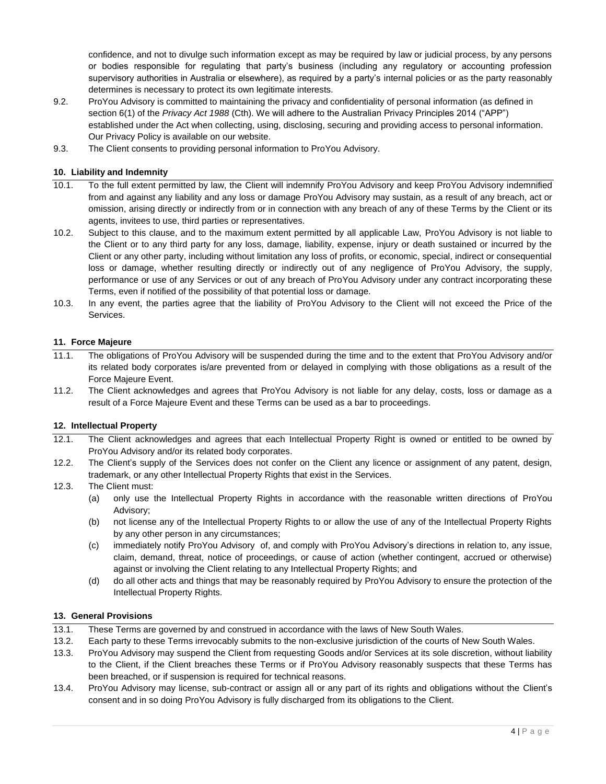confidence, and not to divulge such information except as may be required by law or judicial process, by any persons or bodies responsible for regulating that party's business (including any regulatory or accounting profession supervisory authorities in Australia or elsewhere), as required by a party's internal policies or as the party reasonably determines is necessary to protect its own legitimate interests.

- 9.2. ProYou Advisory is committed to maintaining the privacy and confidentiality of personal information (as defined in section 6(1) of the *Privacy Act 1988* (Cth). We will adhere to the Australian Privacy Principles 2014 ("APP") established under the Act when collecting, using, disclosing, securing and providing access to personal information. Our Privacy Policy is available on our website.
- 9.3. The Client consents to providing personal information to ProYou Advisory.

## **10. Liability and Indemnity**

- 10.1. To the full extent permitted by law, the Client will indemnify ProYou Advisory and keep ProYou Advisory indemnified from and against any liability and any loss or damage ProYou Advisory may sustain, as a result of any breach, act or omission, arising directly or indirectly from or in connection with any breach of any of these Terms by the Client or its agents, invitees to use, third parties or representatives.
- 10.2. Subject to this clause, and to the maximum extent permitted by all applicable Law, ProYou Advisory is not liable to the Client or to any third party for any loss, damage, liability, expense, injury or death sustained or incurred by the Client or any other party, including without limitation any loss of profits, or economic, special, indirect or consequential loss or damage, whether resulting directly or indirectly out of any negligence of ProYou Advisory, the supply, performance or use of any Services or out of any breach of ProYou Advisory under any contract incorporating these Terms, even if notified of the possibility of that potential loss or damage.
- 10.3. In any event, the parties agree that the liability of ProYou Advisory to the Client will not exceed the Price of the Services.

#### **11. Force Majeure**

- 11.1. The obligations of ProYou Advisory will be suspended during the time and to the extent that ProYou Advisory and/or its related body corporates is/are prevented from or delayed in complying with those obligations as a result of the Force Majeure Event.
- 11.2. The Client acknowledges and agrees that ProYou Advisory is not liable for any delay, costs, loss or damage as a result of a Force Majeure Event and these Terms can be used as a bar to proceedings.

#### **12. Intellectual Property**

- 12.1. The Client acknowledges and agrees that each Intellectual Property Right is owned or entitled to be owned by ProYou Advisory and/or its related body corporates.
- 12.2. The Client's supply of the Services does not confer on the Client any licence or assignment of any patent, design, trademark, or any other Intellectual Property Rights that exist in the Services.
- 12.3. The Client must:
	- (a) only use the Intellectual Property Rights in accordance with the reasonable written directions of ProYou Advisory;
	- (b) not license any of the Intellectual Property Rights to or allow the use of any of the Intellectual Property Rights by any other person in any circumstances;
	- (c) immediately notify ProYou Advisory of, and comply with ProYou Advisory's directions in relation to, any issue, claim, demand, threat, notice of proceedings, or cause of action (whether contingent, accrued or otherwise) against or involving the Client relating to any Intellectual Property Rights; and
	- (d) do all other acts and things that may be reasonably required by ProYou Advisory to ensure the protection of the Intellectual Property Rights.

#### **13. General Provisions**

- 13.1. These Terms are governed by and construed in accordance with the laws of New South Wales.
- 13.2. Each party to these Terms irrevocably submits to the non-exclusive jurisdiction of the courts of New South Wales.
- 13.3. ProYou Advisory may suspend the Client from requesting Goods and/or Services at its sole discretion, without liability to the Client, if the Client breaches these Terms or if ProYou Advisory reasonably suspects that these Terms has been breached, or if suspension is required for technical reasons.
- 13.4. ProYou Advisory may license, sub-contract or assign all or any part of its rights and obligations without the Client's consent and in so doing ProYou Advisory is fully discharged from its obligations to the Client.